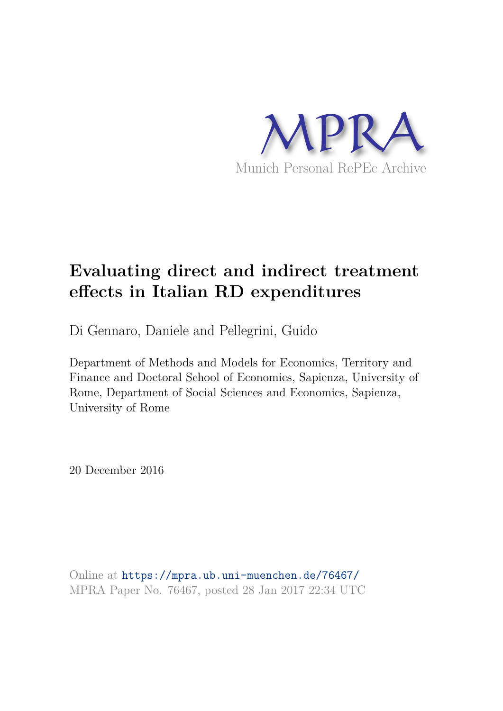

# **Evaluating direct and indirect treatment effects in Italian RD expenditures**

Di Gennaro, Daniele and Pellegrini, Guido

Department of Methods and Models for Economics, Territory and Finance and Doctoral School of Economics, Sapienza, University of Rome, Department of Social Sciences and Economics, Sapienza, University of Rome

20 December 2016

Online at https://mpra.ub.uni-muenchen.de/76467/ MPRA Paper No. 76467, posted 28 Jan 2017 22:34 UTC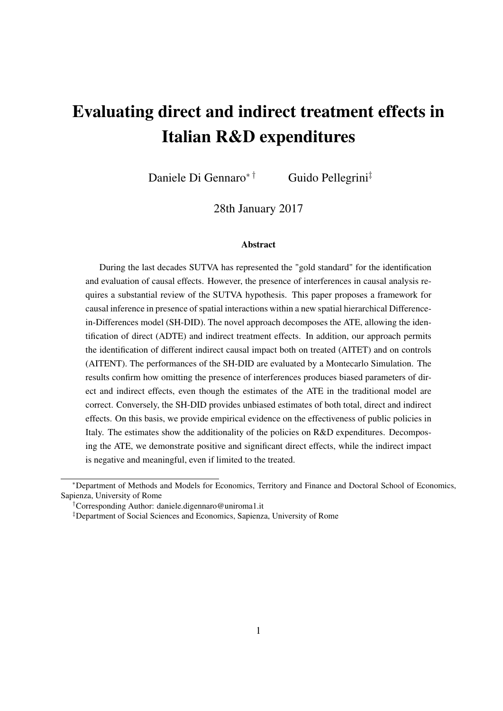# Evaluating direct and indirect treatment effects in Italian R&D expenditures

Daniele Di Gennaro<sup>∗†</sup> Guido Pellegrini<sup>‡</sup>

28th January 2017

#### Abstract

During the last decades SUTVA has represented the "gold standard" for the identification and evaluation of causal effects. However, the presence of interferences in causal analysis requires a substantial review of the SUTVA hypothesis. This paper proposes a framework for causal inference in presence of spatial interactions within a new spatial hierarchical Differencein-Differences model (SH-DID). The novel approach decomposes the ATE, allowing the identification of direct (ADTE) and indirect treatment effects. In addition, our approach permits the identification of different indirect causal impact both on treated (AITET) and on controls (AITENT). The performances of the SH-DID are evaluated by a Montecarlo Simulation. The results confirm how omitting the presence of interferences produces biased parameters of direct and indirect effects, even though the estimates of the ATE in the traditional model are correct. Conversely, the SH-DID provides unbiased estimates of both total, direct and indirect effects. On this basis, we provide empirical evidence on the effectiveness of public policies in Italy. The estimates show the additionality of the policies on R&D expenditures. Decomposing the ATE, we demonstrate positive and significant direct effects, while the indirect impact is negative and meaningful, even if limited to the treated.

<sup>∗</sup>Department of Methods and Models for Economics, Territory and Finance and Doctoral School of Economics, Sapienza, University of Rome

<sup>†</sup>Corresponding Author: daniele.digennaro@uniroma1.it

<sup>‡</sup>Department of Social Sciences and Economics, Sapienza, University of Rome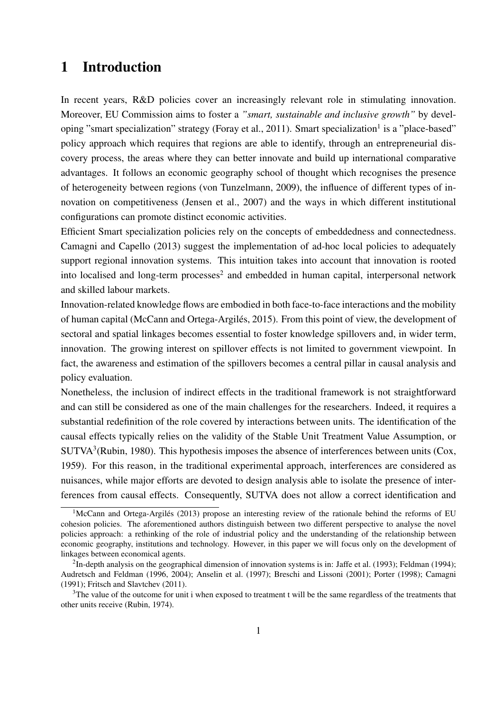## 1 Introduction

In recent years, R&D policies cover an increasingly relevant role in stimulating innovation. Moreover, EU Commission aims to foster a *"smart, sustainable and inclusive growth"* by developing "smart specialization" strategy (Foray et al., 2011). Smart specialization<sup>1</sup> is a "place-based" policy approach which requires that regions are able to identify, through an entrepreneurial discovery process, the areas where they can better innovate and build up international comparative advantages. It follows an economic geography school of thought which recognises the presence of heterogeneity between regions (von Tunzelmann, 2009), the influence of different types of innovation on competitiveness (Jensen et al., 2007) and the ways in which different institutional configurations can promote distinct economic activities.

Efficient Smart specialization policies rely on the concepts of embeddedness and connectedness. Camagni and Capello (2013) suggest the implementation of ad-hoc local policies to adequately support regional innovation systems. This intuition takes into account that innovation is rooted into localised and long-term processes<sup>2</sup> and embedded in human capital, interpersonal network and skilled labour markets.

Innovation-related knowledge flows are embodied in both face-to-face interactions and the mobility of human capital (McCann and Ortega-Argilés, 2015). From this point of view, the development of sectoral and spatial linkages becomes essential to foster knowledge spillovers and, in wider term, innovation. The growing interest on spillover effects is not limited to government viewpoint. In fact, the awareness and estimation of the spillovers becomes a central pillar in causal analysis and policy evaluation.

Nonetheless, the inclusion of indirect effects in the traditional framework is not straightforward and can still be considered as one of the main challenges for the researchers. Indeed, it requires a substantial redefinition of the role covered by interactions between units. The identification of the causal effects typically relies on the validity of the Stable Unit Treatment Value Assumption, or SUTVA<sup>3</sup>(Rubin, 1980). This hypothesis imposes the absence of interferences between units (Cox, 1959). For this reason, in the traditional experimental approach, interferences are considered as nuisances, while major efforts are devoted to design analysis able to isolate the presence of interferences from causal effects. Consequently, SUTVA does not allow a correct identification and

<sup>&</sup>lt;sup>1</sup>McCann and Ortega-Argilés (2013) propose an interesting review of the rationale behind the reforms of EU cohesion policies. The aforementioned authors distinguish between two different perspective to analyse the novel policies approach: a rethinking of the role of industrial policy and the understanding of the relationship between economic geography, institutions and technology. However, in this paper we will focus only on the development of linkages between economical agents.

<sup>&</sup>lt;sup>2</sup>In-depth analysis on the geographical dimension of innovation systems is in: Jaffe et al. (1993); Feldman (1994); Audretsch and Feldman (1996, 2004); Anselin et al. (1997); Breschi and Lissoni (2001); Porter (1998); Camagni (1991); Fritsch and Slavtchev (2011).

<sup>&</sup>lt;sup>3</sup>The value of the outcome for unit i when exposed to treatment t will be the same regardless of the treatments that other units receive (Rubin, 1974).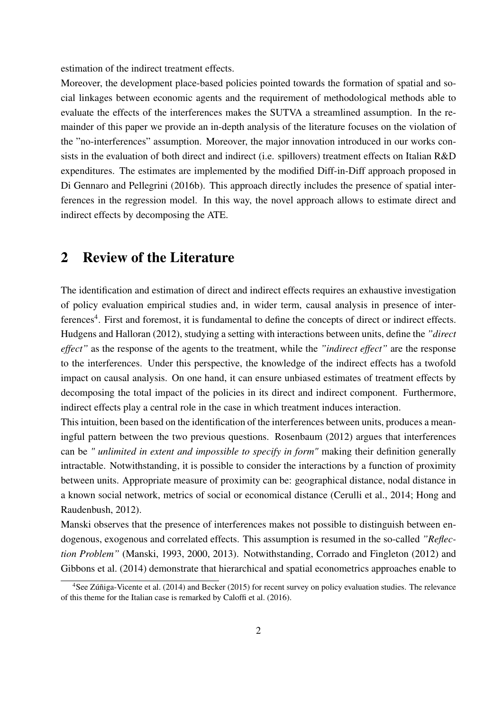estimation of the indirect treatment effects.

Moreover, the development place-based policies pointed towards the formation of spatial and social linkages between economic agents and the requirement of methodological methods able to evaluate the effects of the interferences makes the SUTVA a streamlined assumption. In the remainder of this paper we provide an in-depth analysis of the literature focuses on the violation of the "no-interferences" assumption. Moreover, the major innovation introduced in our works consists in the evaluation of both direct and indirect (i.e. spillovers) treatment effects on Italian R&D expenditures. The estimates are implemented by the modified Diff-in-Diff approach proposed in Di Gennaro and Pellegrini (2016b). This approach directly includes the presence of spatial interferences in the regression model. In this way, the novel approach allows to estimate direct and indirect effects by decomposing the ATE.

## 2 Review of the Literature

The identification and estimation of direct and indirect effects requires an exhaustive investigation of policy evaluation empirical studies and, in wider term, causal analysis in presence of interferences<sup>4</sup>. First and foremost, it is fundamental to define the concepts of direct or indirect effects. Hudgens and Halloran (2012), studying a setting with interactions between units, define the *"direct effect"* as the response of the agents to the treatment, while the *"indirect effect"* are the response to the interferences. Under this perspective, the knowledge of the indirect effects has a twofold impact on causal analysis. On one hand, it can ensure unbiased estimates of treatment effects by decomposing the total impact of the policies in its direct and indirect component. Furthermore, indirect effects play a central role in the case in which treatment induces interaction.

This intuition, been based on the identification of the interferences between units, produces a meaningful pattern between the two previous questions. Rosenbaum (2012) argues that interferences can be *" unlimited in extent and impossible to specify in form"* making their definition generally intractable. Notwithstanding, it is possible to consider the interactions by a function of proximity between units. Appropriate measure of proximity can be: geographical distance, nodal distance in a known social network, metrics of social or economical distance (Cerulli et al., 2014; Hong and Raudenbush, 2012).

Manski observes that the presence of interferences makes not possible to distinguish between endogenous, exogenous and correlated effects. This assumption is resumed in the so-called *"Reflection Problem"* (Manski, 1993, 2000, 2013). Notwithstanding, Corrado and Fingleton (2012) and Gibbons et al. (2014) demonstrate that hierarchical and spatial econometrics approaches enable to

<sup>&</sup>lt;sup>4</sup>See Zúñiga-Vicente et al. (2014) and Becker (2015) for recent survey on policy evaluation studies. The relevance of this theme for the Italian case is remarked by Caloffi et al. (2016).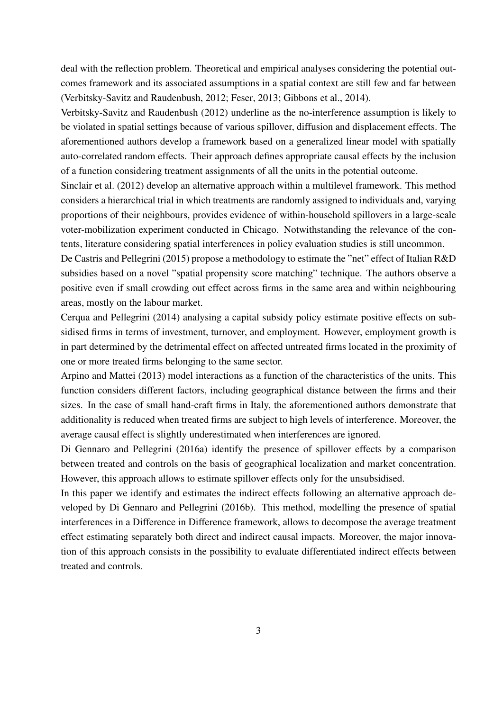deal with the reflection problem. Theoretical and empirical analyses considering the potential outcomes framework and its associated assumptions in a spatial context are still few and far between (Verbitsky-Savitz and Raudenbush, 2012; Feser, 2013; Gibbons et al., 2014).

Verbitsky-Savitz and Raudenbush (2012) underline as the no-interference assumption is likely to be violated in spatial settings because of various spillover, diffusion and displacement effects. The aforementioned authors develop a framework based on a generalized linear model with spatially auto-correlated random effects. Their approach defines appropriate causal effects by the inclusion of a function considering treatment assignments of all the units in the potential outcome.

Sinclair et al. (2012) develop an alternative approach within a multilevel framework. This method considers a hierarchical trial in which treatments are randomly assigned to individuals and, varying proportions of their neighbours, provides evidence of within-household spillovers in a large-scale voter-mobilization experiment conducted in Chicago. Notwithstanding the relevance of the contents, literature considering spatial interferences in policy evaluation studies is still uncommon.

De Castris and Pellegrini (2015) propose a methodology to estimate the "net" effect of Italian R&D subsidies based on a novel "spatial propensity score matching" technique. The authors observe a positive even if small crowding out effect across firms in the same area and within neighbouring areas, mostly on the labour market.

Cerqua and Pellegrini (2014) analysing a capital subsidy policy estimate positive effects on subsidised firms in terms of investment, turnover, and employment. However, employment growth is in part determined by the detrimental effect on affected untreated firms located in the proximity of one or more treated firms belonging to the same sector.

Arpino and Mattei (2013) model interactions as a function of the characteristics of the units. This function considers different factors, including geographical distance between the firms and their sizes. In the case of small hand-craft firms in Italy, the aforementioned authors demonstrate that additionality is reduced when treated firms are subject to high levels of interference. Moreover, the average causal effect is slightly underestimated when interferences are ignored.

Di Gennaro and Pellegrini (2016a) identify the presence of spillover effects by a comparison between treated and controls on the basis of geographical localization and market concentration. However, this approach allows to estimate spillover effects only for the unsubsidised.

In this paper we identify and estimates the indirect effects following an alternative approach developed by Di Gennaro and Pellegrini (2016b). This method, modelling the presence of spatial interferences in a Difference in Difference framework, allows to decompose the average treatment effect estimating separately both direct and indirect causal impacts. Moreover, the major innovation of this approach consists in the possibility to evaluate differentiated indirect effects between treated and controls.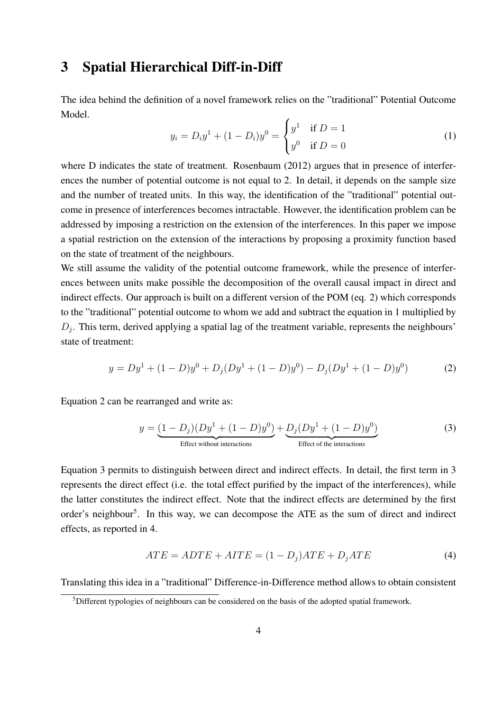## 3 Spatial Hierarchical Diff-in-Diff

The idea behind the definition of a novel framework relies on the "traditional" Potential Outcome Model.

$$
y_i = D_i y^1 + (1 - D_i) y^0 = \begin{cases} y^1 & \text{if } D = 1 \\ y^0 & \text{if } D = 0 \end{cases}
$$
 (1)

where D indicates the state of treatment. Rosenbaum (2012) argues that in presence of interferences the number of potential outcome is not equal to 2. In detail, it depends on the sample size and the number of treated units. In this way, the identification of the "traditional" potential outcome in presence of interferences becomes intractable. However, the identification problem can be addressed by imposing a restriction on the extension of the interferences. In this paper we impose a spatial restriction on the extension of the interactions by proposing a proximity function based on the state of treatment of the neighbours.

We still assume the validity of the potential outcome framework, while the presence of interferences between units make possible the decomposition of the overall causal impact in direct and indirect effects. Our approach is built on a different version of the POM (eq. 2) which corresponds to the "traditional" potential outcome to whom we add and subtract the equation in 1 multiplied by  $D_j$ . This term, derived applying a spatial lag of the treatment variable, represents the neighbours' state of treatment:

$$
y = Dy1 + (1 - D)y0 + Dj(Dy1 + (1 - D)y0) - Dj(Dy1 + (1 - D)y0)
$$
 (2)

Equation 2 can be rearranged and write as:

$$
y = \underbrace{(1 - D_j)(Dy^1 + (1 - D)y^0)}_{\text{Effect without interactions}} + \underbrace{D_j(Dy^1 + (1 - D)y^0)}_{\text{Effect of the interactions}} \tag{3}
$$

Equation 3 permits to distinguish between direct and indirect effects. In detail, the first term in 3 represents the direct effect (i.e. the total effect purified by the impact of the interferences), while the latter constitutes the indirect effect. Note that the indirect effects are determined by the first order's neighbour<sup>5</sup>. In this way, we can decompose the ATE as the sum of direct and indirect effects, as reported in 4.

$$
ATE = ADTE + AITE = (1 - D_j)ATE + D_jATE \tag{4}
$$

Translating this idea in a "traditional" Difference-in-Difference method allows to obtain consistent

<sup>&</sup>lt;sup>5</sup>Different typologies of neighbours can be considered on the basis of the adopted spatial framework.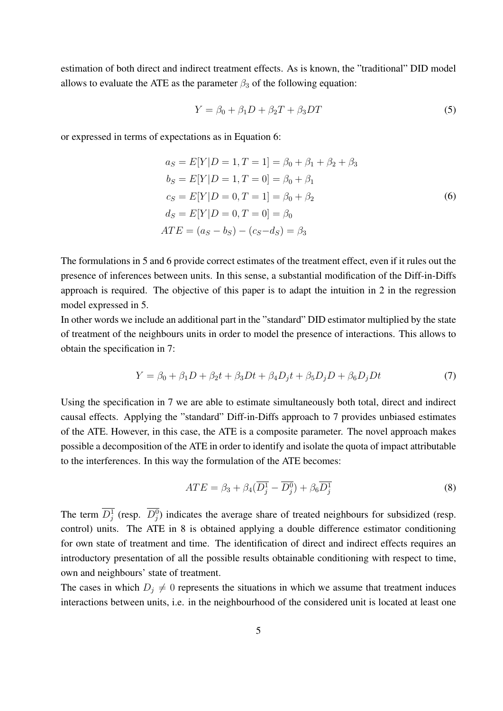estimation of both direct and indirect treatment effects. As is known, the "traditional" DID model allows to evaluate the ATE as the parameter  $\beta_3$  of the following equation:

$$
Y = \beta_0 + \beta_1 D + \beta_2 T + \beta_3 DT \tag{5}
$$

or expressed in terms of expectations as in Equation 6:

$$
a_S = E[Y|D = 1, T = 1] = \beta_0 + \beta_1 + \beta_2 + \beta_3
$$
  
\n
$$
b_S = E[Y|D = 1, T = 0] = \beta_0 + \beta_1
$$
  
\n
$$
c_S = E[Y|D = 0, T = 1] = \beta_0 + \beta_2
$$
  
\n
$$
d_S = E[Y|D = 0, T = 0] = \beta_0
$$
  
\n
$$
ATE = (a_S - b_S) - (c_S - d_S) = \beta_3
$$
\n(6)

The formulations in 5 and 6 provide correct estimates of the treatment effect, even if it rules out the presence of inferences between units. In this sense, a substantial modification of the Diff-in-Diffs approach is required. The objective of this paper is to adapt the intuition in 2 in the regression model expressed in 5.

In other words we include an additional part in the "standard" DID estimator multiplied by the state of treatment of the neighbours units in order to model the presence of interactions. This allows to obtain the specification in 7:

$$
Y = \beta_0 + \beta_1 D + \beta_2 t + \beta_3 D t + \beta_4 D_j t + \beta_5 D_j D + \beta_6 D_j D t \tag{7}
$$

Using the specification in 7 we are able to estimate simultaneously both total, direct and indirect causal effects. Applying the "standard" Diff-in-Diffs approach to 7 provides unbiased estimates of the ATE. However, in this case, the ATE is a composite parameter. The novel approach makes possible a decomposition of the ATE in order to identify and isolate the quota of impact attributable to the interferences. In this way the formulation of the ATE becomes:

$$
ATE = \beta_3 + \beta_4 (\overline{D_j^1} - \overline{D_j^0}) + \beta_6 \overline{D_j^1}
$$
 (8)

The term  $\overline{D_j^1}$  (resp.  $\overline{D_j^0}$ ) indicates the average share of treated neighbours for subsidized (resp. control) units. The ATE in 8 is obtained applying a double difference estimator conditioning for own state of treatment and time. The identification of direct and indirect effects requires an introductory presentation of all the possible results obtainable conditioning with respect to time, own and neighbours' state of treatment.

The cases in which  $D_i \neq 0$  represents the situations in which we assume that treatment induces interactions between units, i.e. in the neighbourhood of the considered unit is located at least one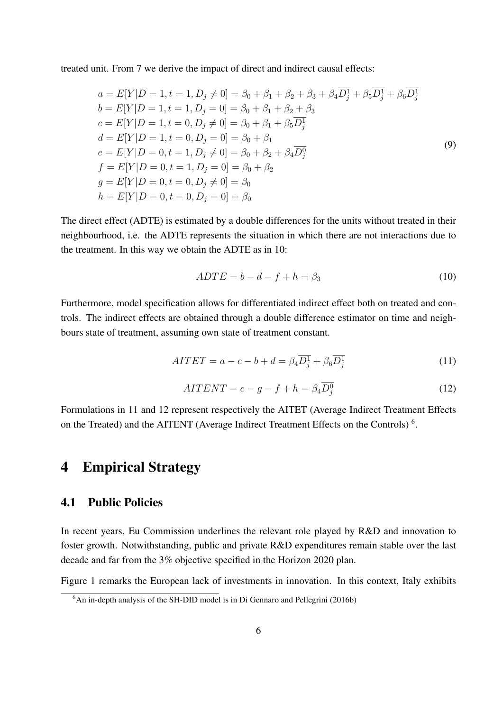treated unit. From 7 we derive the impact of direct and indirect causal effects:

$$
a = E[Y|D = 1, t = 1, D_j \neq 0] = \beta_0 + \beta_1 + \beta_2 + \beta_3 + \beta_4 \overline{D}_j^1 + \beta_5 \overline{D}_j^1 + \beta_6 \overline{D}_j^1
$$
  
\n
$$
b = E[Y|D = 1, t = 1, D_j = 0] = \beta_0 + \beta_1 + \beta_2 + \beta_3
$$
  
\n
$$
c = E[Y|D = 1, t = 0, D_j \neq 0] = \beta_0 + \beta_1 + \beta_5 \overline{D}_j^1
$$
  
\n
$$
d = E[Y|D = 1, t = 0, D_j = 0] = \beta_0 + \beta_1
$$
  
\n
$$
e = E[Y|D = 0, t = 1, D_j \neq 0] = \beta_0 + \beta_2 + \beta_4 \overline{D}_j^0
$$
  
\n
$$
f = E[Y|D = 0, t = 1, D_j = 0] = \beta_0 + \beta_2
$$
  
\n
$$
g = E[Y|D = 0, t = 0, D_j \neq 0] = \beta_0
$$
  
\n
$$
h = E[Y|D = 0, t = 0, D_j = 0] = \beta_0
$$

The direct effect (ADTE) is estimated by a double differences for the units without treated in their neighbourhood, i.e. the ADTE represents the situation in which there are not interactions due to the treatment. In this way we obtain the ADTE as in 10:

$$
ADTE = b - d - f + h = \beta_3 \tag{10}
$$

Furthermore, model specification allows for differentiated indirect effect both on treated and controls. The indirect effects are obtained through a double difference estimator on time and neighbours state of treatment, assuming own state of treatment constant.

$$
AITET = a - c - b + d = \beta_4 \overline{D}_j^1 + \beta_6 \overline{D}_j^1 \tag{11}
$$

$$
AITERNT = e - g - f + h = \beta_4 \overline{D_j^0}
$$
\n(12)

Formulations in 11 and 12 represent respectively the AITET (Average Indirect Treatment Effects on the Treated) and the AITENT (Average Indirect Treatment Effects on the Controls)<sup>6</sup>.

## 4 Empirical Strategy

### 4.1 Public Policies

In recent years, Eu Commission underlines the relevant role played by R&D and innovation to foster growth. Notwithstanding, public and private R&D expenditures remain stable over the last decade and far from the 3% objective specified in the Horizon 2020 plan.

Figure 1 remarks the European lack of investments in innovation. In this context, Italy exhibits

 $6$ An in-depth analysis of the SH-DID model is in Di Gennaro and Pellegrini (2016b)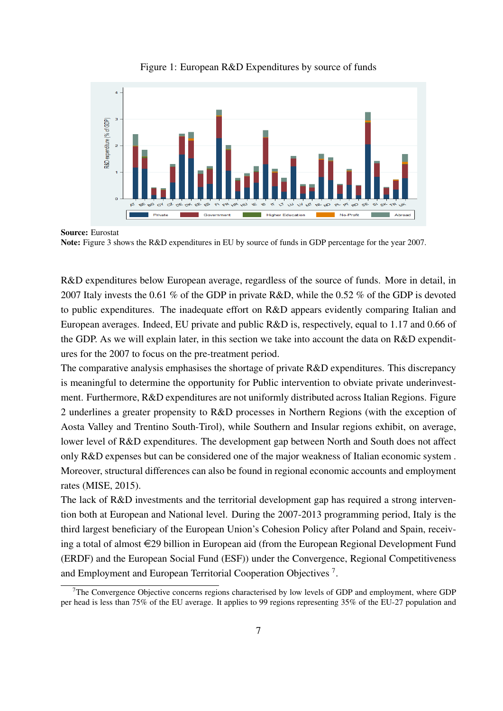

Figure 1: European R&D Expenditures by source of funds

R&D expenditures below European average, regardless of the source of funds. More in detail, in 2007 Italy invests the 0.61 % of the GDP in private R&D, while the 0.52 % of the GDP is devoted to public expenditures. The inadequate effort on R&D appears evidently comparing Italian and European averages. Indeed, EU private and public R&D is, respectively, equal to 1.17 and 0.66 of the GDP. As we will explain later, in this section we take into account the data on R&D expenditures for the 2007 to focus on the pre-treatment period.

The comparative analysis emphasises the shortage of private R&D expenditures. This discrepancy is meaningful to determine the opportunity for Public intervention to obviate private underinvestment. Furthermore, R&D expenditures are not uniformly distributed across Italian Regions. Figure 2 underlines a greater propensity to R&D processes in Northern Regions (with the exception of Aosta Valley and Trentino South-Tirol), while Southern and Insular regions exhibit, on average, lower level of R&D expenditures. The development gap between North and South does not affect only R&D expenses but can be considered one of the major weakness of Italian economic system . Moreover, structural differences can also be found in regional economic accounts and employment rates (MISE, 2015).

The lack of R&D investments and the territorial development gap has required a strong intervention both at European and National level. During the 2007-2013 programming period, Italy is the third largest beneficiary of the European Union's Cohesion Policy after Poland and Spain, receiving a total of almost  $\in 29$  billion in European aid (from the European Regional Development Fund (ERDF) and the European Social Fund (ESF)) under the Convergence, Regional Competitiveness and Employment and European Territorial Cooperation Objectives<sup>7</sup>.

Source: Eurostat Note: Figure 3 shows the R&D expenditures in EU by source of funds in GDP percentage for the year 2007.

<sup>7</sup>The Convergence Objective concerns regions characterised by low levels of GDP and employment, where GDP per head is less than 75% of the EU average. It applies to 99 regions representing 35% of the EU-27 population and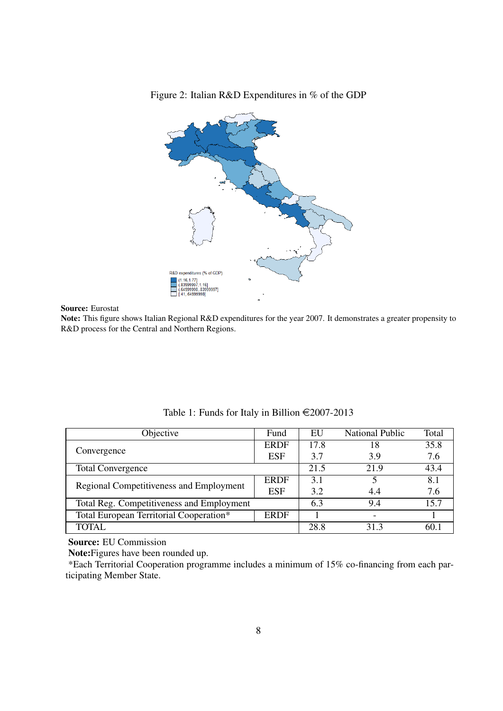

Figure 2: Italian R&D Expenditures in % of the GDP

Source: Eurostat

Note: This figure shows Italian Regional R&D expenditures for the year 2007. It demonstrates a greater propensity to R&D process for the Central and Northern Regions.

| Objective                                 | Fund        | EU   | <b>National Public</b> | Total |
|-------------------------------------------|-------------|------|------------------------|-------|
|                                           | <b>ERDF</b> | 17.8 | 18                     | 35.8  |
| Convergence                               | ESF         | 3.7  | 3.9                    | 7.6   |
| <b>Total Convergence</b>                  | 21.5        | 21.9 | 43.4                   |       |
| Regional Competitiveness and Employment   | <b>ERDF</b> | 3.1  |                        | 8.1   |
|                                           | ESF         | 3.2  | 4.4                    | 7.6   |
| Total Reg. Competitiveness and Employment |             | 6.3  | 9.4                    | 15.7  |
| Total European Territorial Cooperation*   | <b>ERDF</b> |      | $\qquad \qquad$        |       |
| <b>TOTAL</b>                              |             | 28.8 | 313                    | 60.   |

Table 1: Funds for Italy in Billion  $\text{\textsterling}2007\text{-}2013$ 

Source: EU Commission

Note:Figures have been rounded up.

\*Each Territorial Cooperation programme includes a minimum of 15% co-financing from each participating Member State.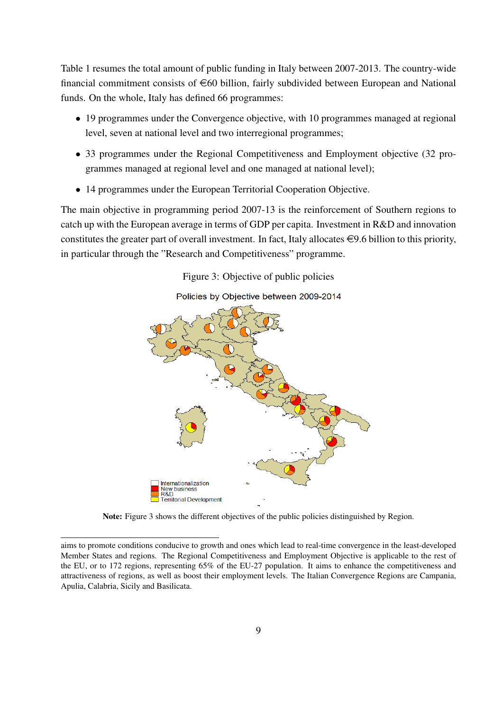Table 1 resumes the total amount of public funding in Italy between 2007-2013. The country-wide financial commitment consists of  $\epsilon$ 60 billion, fairly subdivided between European and National funds. On the whole, Italy has defined 66 programmes:

- 19 programmes under the Convergence objective, with 10 programmes managed at regional level, seven at national level and two interregional programmes;
- 33 programmes under the Regional Competitiveness and Employment objective (32 programmes managed at regional level and one managed at national level);
- 14 programmes under the European Territorial Cooperation Objective.

The main objective in programming period 2007-13 is the reinforcement of Southern regions to catch up with the European average in terms of GDP per capita. Investment in R&D and innovation constitutes the greater part of overall investment. In fact, Italy allocates  $\in 9.6$  billion to this priority, in particular through the "Research and Competitiveness" programme.

Figure 3: Objective of public policies



Note: Figure 3 shows the different objectives of the public policies distinguished by Region.

aims to promote conditions conducive to growth and ones which lead to real-time convergence in the least-developed Member States and regions. The Regional Competitiveness and Employment Objective is applicable to the rest of the EU, or to 172 regions, representing 65% of the EU-27 population. It aims to enhance the competitiveness and attractiveness of regions, as well as boost their employment levels. The Italian Convergence Regions are Campania, Apulia, Calabria, Sicily and Basilicata.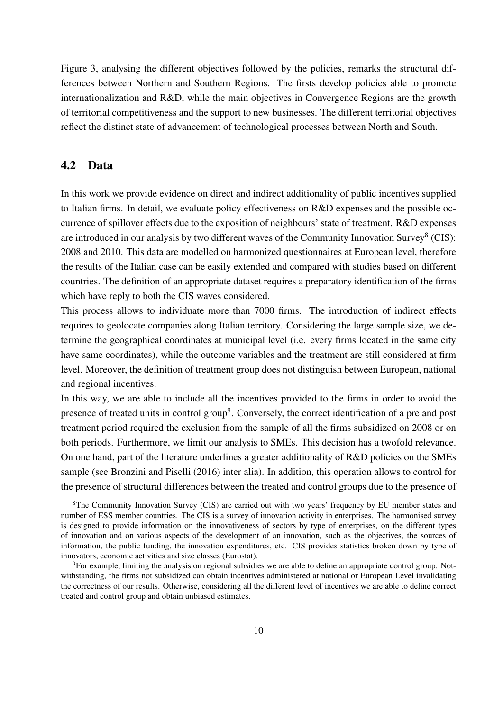Figure 3, analysing the different objectives followed by the policies, remarks the structural differences between Northern and Southern Regions. The firsts develop policies able to promote internationalization and R&D, while the main objectives in Convergence Regions are the growth of territorial competitiveness and the support to new businesses. The different territorial objectives reflect the distinct state of advancement of technological processes between North and South.

## 4.2 Data

In this work we provide evidence on direct and indirect additionality of public incentives supplied to Italian firms. In detail, we evaluate policy effectiveness on R&D expenses and the possible occurrence of spillover effects due to the exposition of neighbours' state of treatment. R&D expenses are introduced in our analysis by two different waves of the Community Innovation Survey<sup>8</sup> (CIS): 2008 and 2010. This data are modelled on harmonized questionnaires at European level, therefore the results of the Italian case can be easily extended and compared with studies based on different countries. The definition of an appropriate dataset requires a preparatory identification of the firms which have reply to both the CIS waves considered.

This process allows to individuate more than 7000 firms. The introduction of indirect effects requires to geolocate companies along Italian territory. Considering the large sample size, we determine the geographical coordinates at municipal level (i.e. every firms located in the same city have same coordinates), while the outcome variables and the treatment are still considered at firm level. Moreover, the definition of treatment group does not distinguish between European, national and regional incentives.

In this way, we are able to include all the incentives provided to the firms in order to avoid the presence of treated units in control group<sup>9</sup>. Conversely, the correct identification of a pre and post treatment period required the exclusion from the sample of all the firms subsidized on 2008 or on both periods. Furthermore, we limit our analysis to SMEs. This decision has a twofold relevance. On one hand, part of the literature underlines a greater additionality of R&D policies on the SMEs sample (see Bronzini and Piselli (2016) inter alia). In addition, this operation allows to control for the presence of structural differences between the treated and control groups due to the presence of

<sup>8</sup>The Community Innovation Survey (CIS) are carried out with two years' frequency by EU member states and number of ESS member countries. The CIS is a survey of innovation activity in enterprises. The harmonised survey is designed to provide information on the innovativeness of sectors by type of enterprises, on the different types of innovation and on various aspects of the development of an innovation, such as the objectives, the sources of information, the public funding, the innovation expenditures, etc. CIS provides statistics broken down by type of innovators, economic activities and size classes (Eurostat).

<sup>9</sup>For example, limiting the analysis on regional subsidies we are able to define an appropriate control group. Notwithstanding, the firms not subsidized can obtain incentives administered at national or European Level invalidating the correctness of our results. Otherwise, considering all the different level of incentives we are able to define correct treated and control group and obtain unbiased estimates.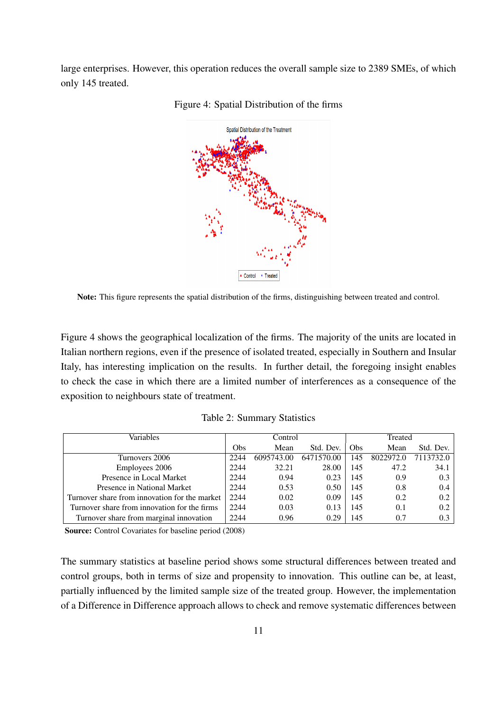large enterprises. However, this operation reduces the overall sample size to 2389 SMEs, of which only 145 treated.



Figure 4: Spatial Distribution of the firms

Note: This figure represents the spatial distribution of the firms, distinguishing between treated and control.

Figure 4 shows the geographical localization of the firms. The majority of the units are located in Italian northern regions, even if the presence of isolated treated, especially in Southern and Insular Italy, has interesting implication on the results. In further detail, the foregoing insight enables to check the case in which there are a limited number of interferences as a consequence of the exposition to neighbours state of treatment.

|  | Table 2: Summary Statistics |  |
|--|-----------------------------|--|
|--|-----------------------------|--|

| Variables                                     |      | Control    |            | Treated |           |           |  |  |  |  |
|-----------------------------------------------|------|------------|------------|---------|-----------|-----------|--|--|--|--|
|                                               | Obs  | Mean       | Std. Dev.  | Obs     | Mean      | Std. Dev. |  |  |  |  |
| Turnovers 2006                                | 2244 | 6095743.00 | 6471570.00 | 145     | 8022972.0 | 7113732.0 |  |  |  |  |
| Employees 2006                                | 2244 | 32.21      | 28.00      | 145     | 47.2      | 34.1      |  |  |  |  |
| Presence in Local Market                      | 2244 | 0.94       | 0.23       | 145     | 0.9       | 0.3       |  |  |  |  |
| Presence in National Market                   | 2244 | 0.53       | 0.50       | 145     | 0.8       | 0.4       |  |  |  |  |
| Turnover share from innovation for the market | 2244 | 0.02       | 0.09       | 145     | 0.2       | 0.2       |  |  |  |  |
| Turnover share from innovation for the firms  | 2244 | 0.03       | 0.13       | 145     | 0.1       | 0.2       |  |  |  |  |
| Turnover share from marginal innovation       | 2244 | 0.96       | 0.29       | 145     | 0.7       | 0.3       |  |  |  |  |

Source: Control Covariates for baseline period (2008)

The summary statistics at baseline period shows some structural differences between treated and control groups, both in terms of size and propensity to innovation. This outline can be, at least, partially influenced by the limited sample size of the treated group. However, the implementation of a Difference in Difference approach allows to check and remove systematic differences between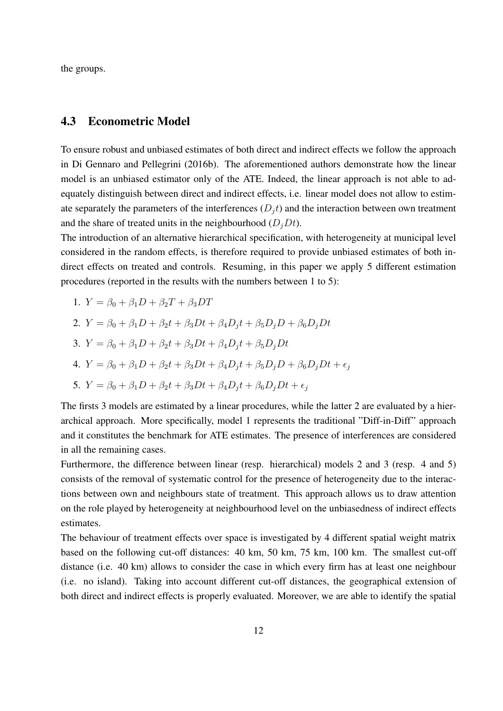the groups.

### 4.3 Econometric Model

To ensure robust and unbiased estimates of both direct and indirect effects we follow the approach in Di Gennaro and Pellegrini (2016b). The aforementioned authors demonstrate how the linear model is an unbiased estimator only of the ATE. Indeed, the linear approach is not able to adequately distinguish between direct and indirect effects, i.e. linear model does not allow to estimate separately the parameters of the interferences  $(D_i t)$  and the interaction between own treatment and the share of treated units in the neighbourhood  $(D_i Dt)$ .

The introduction of an alternative hierarchical specification, with heterogeneity at municipal level considered in the random effects, is therefore required to provide unbiased estimates of both indirect effects on treated and controls. Resuming, in this paper we apply 5 different estimation procedures (reported in the results with the numbers between 1 to 5):

1. 
$$
Y = \beta_0 + \beta_1 D + \beta_2 T + \beta_3 DT
$$

2. 
$$
Y = \beta_0 + \beta_1 D + \beta_2 t + \beta_3 Dt + \beta_4 D_j t + \beta_5 D_j D + \beta_6 D_j Dt
$$

3. 
$$
Y = \beta_0 + \beta_1 D + \beta_2 t + \beta_3 Dt + \beta_4 D_j t + \beta_5 D_j Dt
$$

4. 
$$
Y = \beta_0 + \beta_1 D + \beta_2 t + \beta_3 Dt + \beta_4 D_j t + \beta_5 D_j D + \beta_6 D_j Dt + \epsilon_j
$$

5. 
$$
Y = \beta_0 + \beta_1 D + \beta_2 t + \beta_3 Dt + \beta_4 D_j t + \beta_6 D_j Dt + \epsilon_j
$$

The firsts 3 models are estimated by a linear procedures, while the latter 2 are evaluated by a hierarchical approach. More specifically, model 1 represents the traditional "Diff-in-Diff" approach and it constitutes the benchmark for ATE estimates. The presence of interferences are considered in all the remaining cases.

Furthermore, the difference between linear (resp. hierarchical) models 2 and 3 (resp. 4 and 5) consists of the removal of systematic control for the presence of heterogeneity due to the interactions between own and neighbours state of treatment. This approach allows us to draw attention on the role played by heterogeneity at neighbourhood level on the unbiasedness of indirect effects estimates.

The behaviour of treatment effects over space is investigated by 4 different spatial weight matrix based on the following cut-off distances: 40 km, 50 km, 75 km, 100 km. The smallest cut-off distance (i.e. 40 km) allows to consider the case in which every firm has at least one neighbour (i.e. no island). Taking into account different cut-off distances, the geographical extension of both direct and indirect effects is properly evaluated. Moreover, we are able to identify the spatial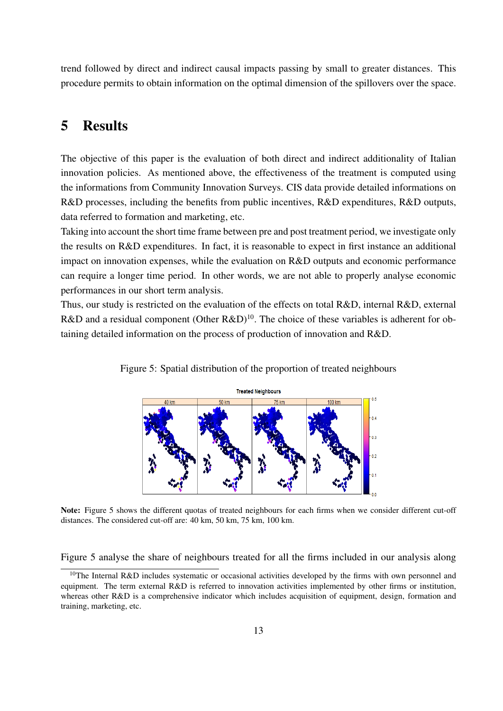trend followed by direct and indirect causal impacts passing by small to greater distances. This procedure permits to obtain information on the optimal dimension of the spillovers over the space.

## 5 Results

The objective of this paper is the evaluation of both direct and indirect additionality of Italian innovation policies. As mentioned above, the effectiveness of the treatment is computed using the informations from Community Innovation Surveys. CIS data provide detailed informations on R&D processes, including the benefits from public incentives, R&D expenditures, R&D outputs, data referred to formation and marketing, etc.

Taking into account the short time frame between pre and post treatment period, we investigate only the results on R&D expenditures. In fact, it is reasonable to expect in first instance an additional impact on innovation expenses, while the evaluation on R&D outputs and economic performance can require a longer time period. In other words, we are not able to properly analyse economic performances in our short term analysis.

Thus, our study is restricted on the evaluation of the effects on total R&D, internal R&D, external R&D and a residual component (Other R&D)<sup>10</sup>. The choice of these variables is adherent for obtaining detailed information on the process of production of innovation and R&D.



Figure 5: Spatial distribution of the proportion of treated neighbours



Note: Figure 5 shows the different quotas of treated neighbours for each firms when we consider different cut-off distances. The considered cut-off are: 40 km, 50 km, 75 km, 100 km.

Figure 5 analyse the share of neighbours treated for all the firms included in our analysis along

<sup>&</sup>lt;sup>10</sup>The Internal R&D includes systematic or occasional activities developed by the firms with own personnel and equipment. The term external R&D is referred to innovation activities implemented by other firms or institution, whereas other R&D is a comprehensive indicator which includes acquisition of equipment, design, formation and training, marketing, etc.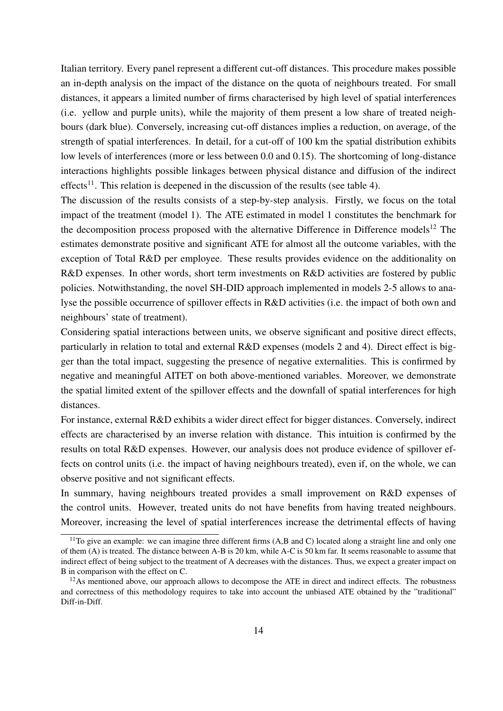Italian territory. Every panel represent a different cut-off distances. This procedure makes possible an in-depth analysis on the impact of the distance on the quota of neighbours treated. For small distances, it appears a limited number of firms characterised by high level of spatial interferences (i.e. yellow and purple units), while the majority of them present a low share of treated neighbours (dark blue). Conversely, increasing cut-off distances implies a reduction, on average, of the strength of spatial interferences. In detail, for a cut-off of 100 km the spatial distribution exhibits low levels of interferences (more or less between 0.0 and 0.15). The shortcoming of long-distance interactions highlights possible linkages between physical distance and diffusion of the indirect effects<sup>11</sup>. This relation is deepened in the discussion of the results (see table 4).

The discussion of the results consists of a step-by-step analysis. Firstly, we focus on the total impact of the treatment (model 1). The ATE estimated in model 1 constitutes the benchmark for the decomposition process proposed with the alternative Difference in Difference models<sup>12</sup> The estimates demonstrate positive and significant ATE for almost all the outcome variables, with the exception of Total R&D per employee. These results provides evidence on the additionality on R&D expenses. In other words, short term investments on R&D activities are fostered by public policies. Notwithstanding, the novel SH-DID approach implemented in models 2-5 allows to analyse the possible occurrence of spillover effects in R&D activities (i.e. the impact of both own and neighbours' state of treatment).

Considering spatial interactions between units, we observe significant and positive direct effects, particularly in relation to total and external R&D expenses (models 2 and 4). Direct effect is bigger than the total impact, suggesting the presence of negative externalities. This is confirmed by negative and meaningful AITET on both above-mentioned variables. Moreover, we demonstrate the spatial limited extent of the spillover effects and the downfall of spatial interferences for high distances.

For instance, external R&D exhibits a wider direct effect for bigger distances. Conversely, indirect effects are characterised by an inverse relation with distance. This intuition is confirmed by the results on total R&D expenses. However, our analysis does not produce evidence of spillover effects on control units (i.e. the impact of having neighbours treated), even if, on the whole, we can observe positive and not significant effects.

In summary, having neighbours treated provides a small improvement on R&D expenses of the control units. However, treated units do not have benefits from having treated neighbours. Moreover, increasing the level of spatial interferences increase the detrimental effects of having

 $11$ To give an example: we can imagine three different firms  $(A, B, A)$  and C) located along a straight line and only one of them (A) is treated. The distance between A-B is 20 km, while A-C is 50 km far. It seems reasonable to assume that indirect effect of being subject to the treatment of A decreases with the distances. Thus, we expect a greater impact on B in comparison with the effect on C.

<sup>&</sup>lt;sup>12</sup>As mentioned above, our approach allows to decompose the ATE in direct and indirect effects. The robustness and correctness of this methodology requires to take into account the unbiased ATE obtained by the "traditional" Diff-in-Diff.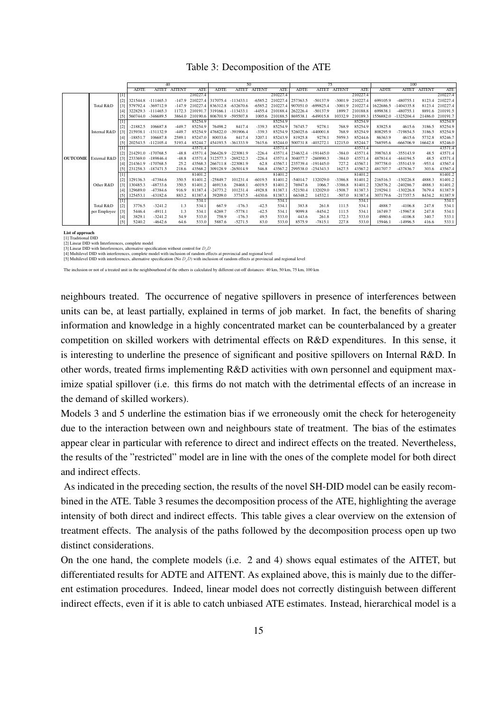#### Table 3: Decomposition of the ATE

|                |              |                                                                                                                                                                                              |              | 40                 |               |            |             | 50           |               |                  |             | 75           |               |                  | 100         |              |               |            |  |  |
|----------------|--------------|----------------------------------------------------------------------------------------------------------------------------------------------------------------------------------------------|--------------|--------------------|---------------|------------|-------------|--------------|---------------|------------------|-------------|--------------|---------------|------------------|-------------|--------------|---------------|------------|--|--|
|                |              |                                                                                                                                                                                              | <b>ADTE</b>  | <b>AITET</b>       | <b>AITENT</b> | <b>ATE</b> | <b>ADTE</b> | <b>AITET</b> | <b>AITENT</b> | <b>ATE</b>       | <b>ADTE</b> | <b>AITET</b> | <b>AITENT</b> | <b>ATE</b>       | <b>ADTE</b> | <b>AITET</b> | <b>AITENT</b> | <b>ATE</b> |  |  |
|                |              | $[1] \centering% \includegraphics[width=1\textwidth]{Figures/PQ1.pdf} \caption{The 3D (black) model for the $z$-axis. The left side is the same as in Figure \ref{fig:10}. } \label{fig:11}$ |              |                    |               | 210227.4   |             |              |               | 210227.4         |             |              |               | 210227.4         |             |              |               | 210227.4   |  |  |
|                |              | [2]                                                                                                                                                                                          | 321544.8     | $-111465.3$        | $-147.9$      | 210227.4   | 317075.4    | $-113433.1$  |               | -6585.2 210227.4 | 257363.5    | $-50137.9$   |               | -3001.9 210227.4 | 699105.9    | $-480755.$   | 8123.4        | 210227.4   |  |  |
|                | Total R&D    | $\lceil 3 \rceil$                                                                                                                                                                            | 579792.4     | $-369712.9$        | $-147.9$      | 210227.4   | 836312.8    | $-632670.6$  | $-6585.2$     | 210227.4         | 907051.0    | $-699825.4$  | -3001.9       | 210227.4         | 1622686.5   | 1404335.8    | 8123.4        | 210227.4   |  |  |
|                |              | [4]                                                                                                                                                                                          | 322829.3     | $-111465.3$        | 1172.3        | 210191.7   | 319166.1    | $-113433.$   | $-4455.4$     | 210188.4         | 262226.4    | $-50137.9$   | 1899.7        | 210188.8         | 699838.1    | $-480755.$   | 8891.6        | 210191.5   |  |  |
|                |              | [5]                                                                                                                                                                                          | 560744.0     | $-346689.5$        | 3864.0        | 210190.6   | 806701.9    | -595507.8    | 1005.6        | 210188.5         | 869538.1    | $-649015.8$  | 10332.9       | 210189.3         | 1556882.0   | $-1325204.4$ | 21486.0       | 210191.7   |  |  |
|                |              |                                                                                                                                                                                              |              |                    |               | 85254.9    |             |              |               | 85254.9          |             |              |               | 85254.9          |             |              |               | 85254.9    |  |  |
|                |              | $\lceil 2 \rceil$                                                                                                                                                                            | $-21882.5$   | 106687.8           | $-449.7$      | 85254.9    | 76498.2     | 8417.4       | $-339.3$      | 85254.9          | 76745.7     | 9278.1       | 768.9         | 85254.9          | 83825.8     | 4615.6       | 3186.5        | 85254.9    |  |  |
|                | Internal R&D | [3]                                                                                                                                                                                          | 215938.1     | $-131132.9$        | $-449.7$      | 85254.9    | 476822.0    | $-391906.4$  | $-339.3$      | 85254.9          | 526025.6    | $-440001.8$  | 768.9         | 85254.9          | 808295.9    | $-719854.5$  | 3186.5        | 85254.9    |  |  |
|                |              | [4]                                                                                                                                                                                          | $-18851.7$   | 106687.8           | 2589.1        | 85247.0    | 80033.6     | 8417.4       | 3207.1        | 85243.9          | 81925.8     | 9278.1       | 5959.3        | 85244.6          | 86363.9     | 4615.6       | 5732.8        | 85246.7    |  |  |
|                |              | $\left[5\right]$                                                                                                                                                                             | 202543.5     | $-112105.4$        | 5193.4        | 85244.7    | 454193.5    | $-361333.9$  | 7615.6        | 85244.0          | 500731.8    | $-403272.1$  | 12215.0       | 85244.7          | 768595.6    | $-666706.9$  | 16642.8       | 85246.0    |  |  |
|                |              | П                                                                                                                                                                                            |              |                    |               | 43571.4    |             |              |               | 43571.4          |             |              |               | 43571.4          |             |              |               | 43571.4    |  |  |
|                |              | [2]                                                                                                                                                                                          |              | 214291.0 -170768.5 | $-48.8$       | 43571.4    | 266426.9    | $-223081.9$  | $-226.4$      | 43571.4          | 234632.4    | $-191445.0$  | $-384.0$      | 43571.4          | 398763.8    | $-355143.9$  | 48.5          | 43571.4    |  |  |
| <b>OUTCOME</b> | External R&D |                                                                                                                                                                                              | [3] 233369.0 | $-189846.4$        | $-48.8$       | 43571.4    | 312577.3    | $-269232.3$  | $-226.4$      | 43571.4          | 304077.7    | $-260890.3$  | $-384.0$      | 43571.4          | 487814.4    | $-444194.5$  | 48.5          | 43571.4    |  |  |
|                |              | [4]                                                                                                                                                                                          | 1214361.9    | $-170768.5$        | 25.2          | 43568.3    | 266711.8    | $-223081.9$  | 62.8          | 43567.1          | 235739.4    | $-191445.0$  | 727.2         | 43567.           | 397758.0    | $-355143.9$  | $-953.4$      | 43567.4    |  |  |
|                |              | [5]                                                                                                                                                                                          | 231258.3     | $-187471.5$        | 218.6         | 43568.2    | 309128.9    | $-265014.9$  | 546.8         | 43567.2          | 299538.0    | $-254343.3$  | 1627.5        | 43567.2          | 481707.7    | $-437836.7$  | 303.6         | 43567.4    |  |  |
|                |              | Ш                                                                                                                                                                                            |              |                    |               | 81401.2    |             |              |               | 81401.2          |             |              |               | 81401.2          |             |              |               | 81401.2    |  |  |
|                |              | $\lceil 2 \rceil$                                                                                                                                                                            | 129136.3     | $-47384.6$         | 350.5         | 81401.2    | $-25849.7$  | 101231.4     | $-6019.5$     | 81401.2          | $-54014.7$  | 132029.0     | $-3386.8$     | 81401.2          | 216516.3    | $-130226.8$  | 4888.3        | 81401.2    |  |  |
|                | Other R&D    | [3]                                                                                                                                                                                          | 130485.3     | $-48733.6$         | 350.5         | 81401.2    | 46913.6     | 28468.1      | $-6019.5$     | 81401.2          | 76947.6     | 1066.7       | $-3386.8$     | 81401.2          | 326576.2    | $-240286.7$  | 4888.3        | 81401.2    |  |  |
|                |              | [4]                                                                                                                                                                                          | 129689.0     | $-47384.6$         | 916.9         | 81387.4    | $-24773.2$  | 101231.4     | $-4928.8$     | 81387.1          | $-52150.4$  | 132029.0     | $-1508.7$     | 81387.3          | 219294.1    | $-130226.8$  | 7679.4        | 81387.9    |  |  |
|                |              | $\left[5\right]$                                                                                                                                                                             | 125453.1     | $-43182.6$         | 883.2         | 81387.4    | 39209.0     | 37747.5      | -4430.6       | 81387.1          | 66348.2     | 14532.1      | $-507.0$      | 81387.4          | 307179.6    | $-217357.5$  | 8434.2        | 81387.9    |  |  |
|                |              | Ш                                                                                                                                                                                            |              |                    |               | 534.1      |             |              |               | 534.1            |             |              |               | 534.1            |             |              |               | 534.1      |  |  |
|                | Total R&D    | $[2]$                                                                                                                                                                                        | 3776.5       | $-3241.2$          | 1.3           | 534.1      | 667.9       | $-176.3$     | $-42.5$       | 534.1            | 383.8       | 261.8        | 111.5         | 534.1            | 4888.7      | $-4106.8$    | 247.8         | 534.1      |  |  |
|                | per Employee | $[3]$                                                                                                                                                                                        | 5446.4       | $-4911.1$          | 1.3           | 534.1      | 6269.7      | $-5778.1$    | $-42.5$       | 534.1            | 9099.8      | $-8454.2$    | 111.5         | 534.1            | 16749.7     | $-15967.8$   | 247.8         | 534.1      |  |  |
|                |              | $[4]$                                                                                                                                                                                        | 3829.1       | $-3241.2$          | 54.9          | 533.0      | 758.9       | $-176.3$     | 49.5          | 533.0            | 443.6       | 261.8        | 172.3         | 533.0            | 4980.6      | $-4106.8$    | 340.7         | 533.1      |  |  |
|                |              | $[5]$                                                                                                                                                                                        | 5240.2       | $-4642.6$          | 64.6          | 533.0      | 5887.6      | $-5271.5$    | 83.0          | 533.0            | 8575.9      | $-7815.1$    | 227.8         | 533.0            | 15946.1     | $-14996.5$   | 416.6         | 533.1      |  |  |

List of approach [1] Traditional DID

[2] Linear DID with Interferences, complete model<br>[3] Linear DID with Interferences, alternative specification without control for  $D_jD$ <br>[4] Multilevel DID with interferences, complete model with inclusion of random effect

[5] Multilevel DID with interferences, alternative specification (No  $D_jD$ ) with inclusion of random effects at provincial and regional level

The inclusion or not of a treated unit in the neighbourhood of the others is calculated by different cut-off distances: 40 km, 50 km, 75 km, 100 km

neighbours treated. The occurrence of negative spillovers in presence of interferences between units can be, at least partially, explained in terms of job market. In fact, the benefits of sharing information and knowledge in a highly concentrated market can be counterbalanced by a greater competition on skilled workers with detrimental effects on R&D expenditures. In this sense, it is interesting to underline the presence of significant and positive spillovers on Internal R&D. In other words, treated firms implementing R&D activities with own personnel and equipment maximize spatial spillover (i.e. this firms do not match with the detrimental effects of an increase in the demand of skilled workers).

Models 3 and 5 underline the estimation bias if we erroneously omit the check for heterogeneity due to the interaction between own and neighbours state of treatment. The bias of the estimates appear clear in particular with reference to direct and indirect effects on the treated. Nevertheless, the results of the "restricted" model are in line with the ones of the complete model for both direct and indirect effects.

As indicated in the preceding section, the results of the novel SH-DID model can be easily recombined in the ATE. Table 3 resumes the decomposition process of the ATE, highlighting the average intensity of both direct and indirect effects. This table gives a clear overview on the extension of treatment effects. The analysis of the paths followed by the decomposition process open up two distinct considerations.

On the one hand, the complete models (i.e. 2 and 4) shows equal estimates of the AITET, but differentiated results for ADTE and AITENT. As explained above, this is mainly due to the different estimation procedures. Indeed, linear model does not correctly distinguish between different indirect effects, even if it is able to catch unbiased ATE estimates. Instead, hierarchical model is a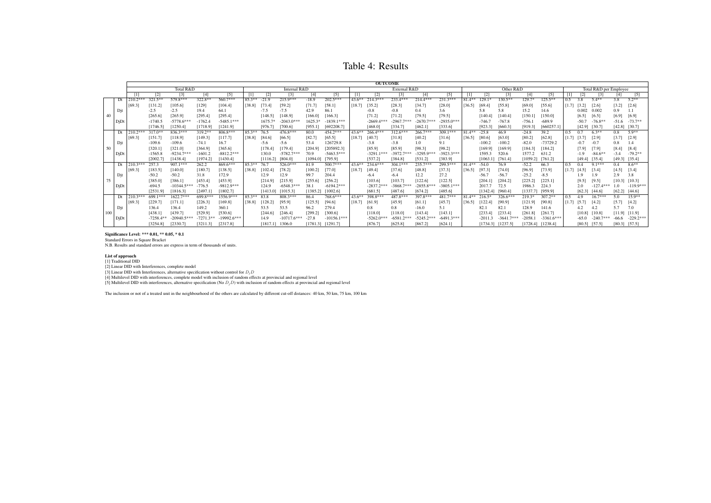Table 4: Results

|    |     | <b>OUTCOME</b> |             |               |             |               |              |          |               |           |                   |              |              |              |              |              |           |           |              |           |              |       |                        |             |         |             |
|----|-----|----------------|-------------|---------------|-------------|---------------|--------------|----------|---------------|-----------|-------------------|--------------|--------------|--------------|--------------|--------------|-----------|-----------|--------------|-----------|--------------|-------|------------------------|-------------|---------|-------------|
|    |     |                |             | Total R&D     |             |               | Internal R&D |          |               |           |                   | External R&D |              |              |              |              | Other R&D |           |              |           |              |       | Total R&D per Employee |             |         |             |
|    |     |                |             | [3]           | [4]         | [5]           |              |          |               | [4]       | $\lceil 5 \rceil$ | $\mathbf{I}$ | $[2]$        |              | $[4]$        | [5]          |           |           | $[3]$        | [4]       |              |       |                        |             |         | [5]         |
|    | Dt  | $210.2***$     | $321.5***$  | 579.8***      | 322.8**     | $560.7***$    | $85.3**$     | $-21.9$  | $215.9***$    | $-18.9$   | $202.5***$        | $43.6***$    | $214.3***$   | 233.4***     | $214.4***$   | $231.3***$   | $81.4**$  | $129.1*$  | $130.5**$    | 129.7*    | $125.5***$   | 0.5   | 3.8                    | $5.4**$     | 3.8     | $5.2**$     |
|    |     | 169.3          | [131.2]     | [105.6]       | [129]       | [104.4]       | [38.8]       | [73.4]   | [59.2]        | [71.7]    | [58.1]            | [18.7]       | [35.2]       | [28.3]       | [34.7]       | [28.0]       | [36.5]    | [69.4]    | [55.8]       | [69.0]    | [55.6]       | [1.7] | [3.2]                  | [2.6]       | [3.2]   | [2.6]       |
|    | Dit |                | $-2.5$      | $-2.5$        | 19.4        | 64.1          |              | $-7.5$   | $-7.5$        | 42.9      | 86.1              |              | $-0.8$       | $-0.8$       | 0.4          | 3.6          |           | 5.8       | 5.8          | 15.2      | 14.6         |       | 0.002                  | 0.002       | 0.9     |             |
|    |     |                | [265.6]     | [265.9]       | [295.4]     | [295.4]       |              | [148.5]  | [148.9]       | [166.0]   | [166.3]           |              | [71.2]       | [71.2]       | [79.5]       | [79.5]       |           | [140.4]   | [140.4]      | [150.1]   | [150.0]      |       | [6.5]                  | [6.5]       | [6.9]   | [6.9]       |
|    | DiD |                | $-1740.5$   | $-5778.6***$  | $-1762.4$   | $-5485.1***$  |              | 1675.7*  | $-2043.0***$  | $1625.3*$ | 1839.1***         |              | $-2669.4***$ | $-2967.7***$ | $-2670.7***$ | $-2935.0***$ |           | $-746.7$  | $-767.8$     | $-756.1$  | -689.9       |       | $-50.7$                | $-76.8**$   | $-51.6$ | $-73.7**$   |
|    |     |                | [1746.5]    | [1250.4]      | [1718.9]    | [1241.9]      |              | [976.7]  | [700.6]       | [955.1]   | [692208.7]        |              | [468.0]      | [334.7]      | [462.1]      | [333.6]      |           | [923.3]   | [660.3]      | [919.3]   | [660257.1]   |       | [42.9]                 | [30.7]      | [42.8]  | [30.7]      |
|    | Dt  | $210.2***$     | $317.0***$  | $836.3***$    | $319.2**$   | $806.8***$    | $85.3**$     | 76.5     | 476.8***      | 80.0      | 454.2***          | $43.6***$    | $266.4***$   | $312.6***$   | $266.7***$   | $309.1***$   | $81.4**$  | $-25.8$   | 46.9         | $-24.8$   | 39.2         | 0.5   |                        | $6.3***$    | 0.8     | $5.9**$     |
|    |     | [69.3]         | [151.7]     | [118.9]       | [149.3]     | [117.7]       | [38.8]       | [84.6]   | [66.5]        | [82.7]    | [65.5]            | [18.7]       | [40.7]       | [31.8]       | [40.2]       | [31.6]       | [36.5]    | [80.6]    | [63.0]       | [80.2]    | [62.8]       | [1.7] | 3.7                    | [2.9]       | [3.7]   | [2.9]       |
|    | Dit |                | $-109.6$    | $-109.6$      | $-74.1$     | 16.7          |              | $-5.6$   | $-5.6$        | 53.4      | 126729.8          |              | $-3.8$       | $-3.8$       | 1.0          | 9.1          |           | $-100.2$  | $-100.2$     | $-82.0$   | $-73729.2$   |       | $-0.1$                 | $-0.7$      | 0.8     |             |
| 50 |     |                | [320.1]     | [321.0]       | [364.9]     | [365.6]       |              | [178.4]  | [179.4]       | [204.9]   | [205892.3]        |              | [85.9]       | [85.9]       | [98.3]       | [98.2]       |           | [169.9    | [169.9]      | [184.3]   | [184.2]      |       | [7.9]                  | [7.9]       | $[8.4]$ | [8.4]       |
|    | DjD |                | $-1565.8$   | $-9234.7***$  | $-1601.2$   | $-8812.2***$  |              | 130.0    | $-5782.7***$  | 70.9      | $-5463.5***$      |              | $-3291.1***$ | $-3972.7***$ | $-3295.9**$  | $-3923.3***$ |           | 1595.3    | 520.6        | 1577.2    | 631.2        |       | $-1.9$                 | $-84.6**$   | $-3.4$  | $-79.2**$   |
|    |     |                | [2002.7]    | [1438.4]      | [1974.2]    | [1430.4]      |              | [1116.2] | [804.0]       | [1094.0]  | [795.9]           |              | [537.2]      | [384.8]      | [531.2]      | [383.9]      |           | [1063.1]  | [761.4]      | [1059.2]  | [761.2]      |       | [49.4]                 | [35.4]      | [49.3]  | [35.4]      |
|    | Dt  | $210.3***$     | 257.3       | $907.1***$    | 262.2       | $869.6***$    | $85.3**$     | 76.7     | $526.0***$    | 81.9      | $500.7***$        | $43.6***$    | $234.6***$   | $304.1***$   | $235.7***$   | 299.5***     | $81.4**$  | $-54.0$   | 76.9         | $-52.2$   | 66.3         | 0.5   | 0.4                    | $9.1***$    | 0.4     | $8.6***$    |
|    |     | 169.3          | [183.5]     | [140.0]       | [180.7]     | [138.5]       | [38.8]       | [102.4]  | [78.2]        | [100.2]   | [77.0]            | [18.7]       | [49.4]       | [37.6]       | [48.8]       | [37.3]       | [36.5]    | 197.3     | [74.0]       | [96.9]    | [73.9]       | [1.7] | [4.5]                  | [3.4]       | [4.5]   | [3.4]       |
|    | Dit |                | $-50.2$     | $-50.2$       | 31.8        | 172.9         |              | 12.9     | 12.9          | 99.7      | 204.4             |              | -6.4         | $-6.4$       | 12.2         | 27.2         |           | $-56.7$   | $-56.7$      | $-25.2$   | $-8.5$       |       | 1.9                    | 1.9         | 2.9     | 3.8         |
|    |     |                | [385.0]     | [386.1]       | 1453.4      | [453.9]       |              | [214.9]  | [215.9]       | [255.6]   | [256.2]           |              | [103.6]      | [103.7]      | [122.6]      | [122.5]      |           | 1204.1    | [204.2]      | [225.2]   | [225.1]      |       | [9.5]                  | [9.5]       | [10.3]  | [10.3]      |
|    | DiD |                | $-694.5$    | $-10344.5***$ | $-776.5$    | $-9812.9***$  |              | 124.9    | $-6548.3***$  | 38.1      | $-6194.2***$      |              | $-2837.2***$ | $-3868.7***$ | $-2855.8**$  | $-3805.1***$ |           | 2017.7    | 72.5         | 1986.3    | 224.3        |       | 2.0                    | $-127.4***$ |         | $-119.9***$ |
|    |     |                | [2531.9]    | [1816.3]      | [2497.1]    | [1802.7]      |              | [1413.0] | [1015.3]      | [1385.2]  | [1002.6]          |              | [681.5]      | [487.6]      | [674.2]      | [485.6]      |           | [1342.4]  | [960.4]      | [1337.7]  | [959.9]      |       | [62.3]                 | [44.6]      | [62.2]  | [44.6]      |
|    | Dt  | $210.3**$      | 699.1***    | $622.7***$    | 699.8***    | 1556.9***     | $85.3**$     | 83.8     | $808.3***$    | 86.4      | 768.6***          | $43.6***$    | $398.8***$   | 487.8***     | 397.8***     | 481.7***     | $81.4**$  | $216.5*$  | $326.6***$   | 219.3*    | $307.2**$    | 0.5   | 4.9                    | $16.7***$   | 5.0     | $15.9**$    |
|    |     | [69.3]         | [229.7]     | [171.1]       | [226.3]     | [169.8]       | [38.8]       | [128.2]  | [95.9]        | [125.5]   | [94.6]            | [18.7]       | [61.9]       | [45.9]       | [61.1]       | [45.7]       | [36.5]    | [122.4]   | [90.9]       | [121.9]   | [90.8]       | [1.7] | 15.7                   | [4.2]       | [5.7]   | [4.2]       |
|    | Dit |                | 136.4       | 136.4         | 149.2       | 360.1         |              | 53.5     | 53.5          | 96.2      | 279.4             |              | 0.8          | 0.8          | $-16.0$      | 5.1          |           | 82.       | 82.          | 128.9     | 141.6        |       |                        | 4.2.        | 5.7     | 7.0         |
|    |     |                | [438.1]     | [439.7]       | 1529.9      | [530.6]       |              | [244.6   | [246.4]       | [299.2]   | [300.6]           |              | [118.0]      | [118.0]      | [143.4]      | [143.1]      |           | [233.4]   | [233.4]      | [261.8]   | [261.7]      |       | [10.8]                 | [10.8]      | [11.9]  | [11.9]      |
|    | DiD |                | $-7258.4**$ | $-20940.5**$  | $-7271.3**$ | $-19992.6***$ |              | 14.9     | $-10717.6***$ | $-27.8$   | $-10156.1***$     |              | $-5262.0***$ | $-6581.2***$ | $-5245.2**$  | $-6491.3***$ |           | $-2011.3$ | $-3641.7***$ | $-2058.1$ | $-3361.6***$ |       | $-65.0$                | $-240.7$ ** | -66.6   | $-229.2***$ |
|    |     |                | [3254.8]    | [2330.7]      | [3211.3]    | [2317.8]      |              | [1817.1] | 1306.0        | [1781.3]  | [1291.7]          |              | [876.7]      | [625.8]      | [867.2]      | [624.1]      |           | [1734.3]  | [1237.5]     | [1728.4]  | [1238.4]     |       | [80.5]                 | [57.5]      | [80.3]  | [57.5]      |

Significance Level: \*\*\* 0.01, \*\* 0.05, \* 0.1 Standard Errors in Square Bracket

N.B. Results and standard errors are express in term of thousands of units.

#### List of approach [1] Traditional DID

[2] Linear DID with Interferences, complete model<br>[3] Linear DID with Interferences, alternative specification without control for  $D_jD$ <br>[4] Multilevel DID with interferences, complete model with inclusion of random effec

The inclusion or not of a treated unit in the neighbourhood of the others are calculated by different cut-off distances: 40 km, 50 km, 75 km, 100 km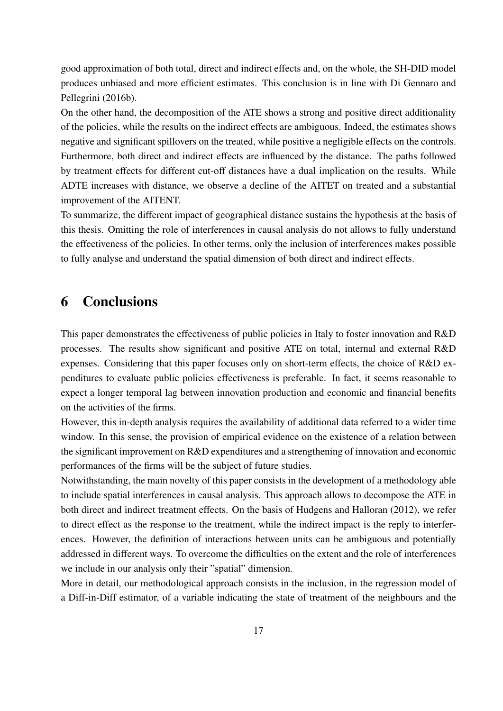good approximation of both total, direct and indirect effects and, on the whole, the SH-DID model produces unbiased and more efficient estimates. This conclusion is in line with Di Gennaro and Pellegrini (2016b).

On the other hand, the decomposition of the ATE shows a strong and positive direct additionality of the policies, while the results on the indirect effects are ambiguous. Indeed, the estimates shows negative and significant spillovers on the treated, while positive a negligible effects on the controls. Furthermore, both direct and indirect effects are influenced by the distance. The paths followed by treatment effects for different cut-off distances have a dual implication on the results. While ADTE increases with distance, we observe a decline of the AITET on treated and a substantial improvement of the AITENT.

To summarize, the different impact of geographical distance sustains the hypothesis at the basis of this thesis. Omitting the role of interferences in causal analysis do not allows to fully understand the effectiveness of the policies. In other terms, only the inclusion of interferences makes possible to fully analyse and understand the spatial dimension of both direct and indirect effects.

# 6 Conclusions

This paper demonstrates the effectiveness of public policies in Italy to foster innovation and R&D processes. The results show significant and positive ATE on total, internal and external R&D expenses. Considering that this paper focuses only on short-term effects, the choice of R&D expenditures to evaluate public policies effectiveness is preferable. In fact, it seems reasonable to expect a longer temporal lag between innovation production and economic and financial benefits on the activities of the firms.

However, this in-depth analysis requires the availability of additional data referred to a wider time window. In this sense, the provision of empirical evidence on the existence of a relation between the significant improvement on R&D expenditures and a strengthening of innovation and economic performances of the firms will be the subject of future studies.

Notwithstanding, the main novelty of this paper consists in the development of a methodology able to include spatial interferences in causal analysis. This approach allows to decompose the ATE in both direct and indirect treatment effects. On the basis of Hudgens and Halloran (2012), we refer to direct effect as the response to the treatment, while the indirect impact is the reply to interferences. However, the definition of interactions between units can be ambiguous and potentially addressed in different ways. To overcome the difficulties on the extent and the role of interferences we include in our analysis only their "spatial" dimension.

More in detail, our methodological approach consists in the inclusion, in the regression model of a Diff-in-Diff estimator, of a variable indicating the state of treatment of the neighbours and the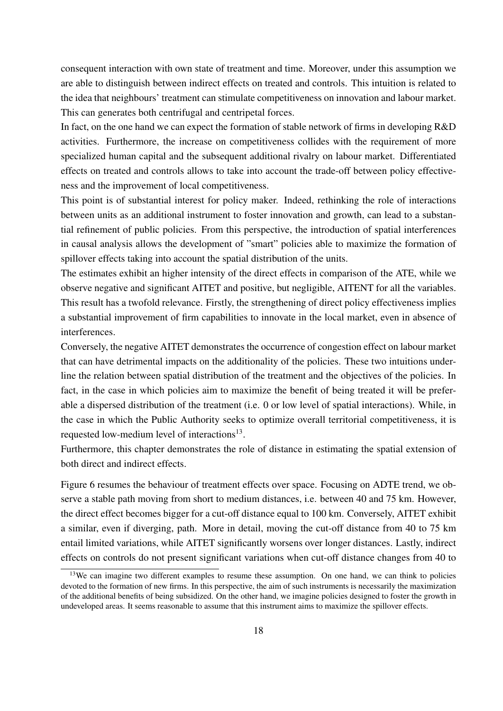consequent interaction with own state of treatment and time. Moreover, under this assumption we are able to distinguish between indirect effects on treated and controls. This intuition is related to the idea that neighbours' treatment can stimulate competitiveness on innovation and labour market. This can generates both centrifugal and centripetal forces.

In fact, on the one hand we can expect the formation of stable network of firms in developing R&D activities. Furthermore, the increase on competitiveness collides with the requirement of more specialized human capital and the subsequent additional rivalry on labour market. Differentiated effects on treated and controls allows to take into account the trade-off between policy effectiveness and the improvement of local competitiveness.

This point is of substantial interest for policy maker. Indeed, rethinking the role of interactions between units as an additional instrument to foster innovation and growth, can lead to a substantial refinement of public policies. From this perspective, the introduction of spatial interferences in causal analysis allows the development of "smart" policies able to maximize the formation of spillover effects taking into account the spatial distribution of the units.

The estimates exhibit an higher intensity of the direct effects in comparison of the ATE, while we observe negative and significant AITET and positive, but negligible, AITENT for all the variables. This result has a twofold relevance. Firstly, the strengthening of direct policy effectiveness implies a substantial improvement of firm capabilities to innovate in the local market, even in absence of interferences.

Conversely, the negative AITET demonstrates the occurrence of congestion effect on labour market that can have detrimental impacts on the additionality of the policies. These two intuitions underline the relation between spatial distribution of the treatment and the objectives of the policies. In fact, in the case in which policies aim to maximize the benefit of being treated it will be preferable a dispersed distribution of the treatment (i.e. 0 or low level of spatial interactions). While, in the case in which the Public Authority seeks to optimize overall territorial competitiveness, it is requested low-medium level of interactions<sup>13</sup>.

Furthermore, this chapter demonstrates the role of distance in estimating the spatial extension of both direct and indirect effects.

Figure 6 resumes the behaviour of treatment effects over space. Focusing on ADTE trend, we observe a stable path moving from short to medium distances, i.e. between 40 and 75 km. However, the direct effect becomes bigger for a cut-off distance equal to 100 km. Conversely, AITET exhibit a similar, even if diverging, path. More in detail, moving the cut-off distance from 40 to 75 km entail limited variations, while AITET significantly worsens over longer distances. Lastly, indirect effects on controls do not present significant variations when cut-off distance changes from 40 to

<sup>&</sup>lt;sup>13</sup>We can imagine two different examples to resume these assumption. On one hand, we can think to policies devoted to the formation of new firms. In this perspective, the aim of such instruments is necessarily the maximization of the additional benefits of being subsidized. On the other hand, we imagine policies designed to foster the growth in undeveloped areas. It seems reasonable to assume that this instrument aims to maximize the spillover effects.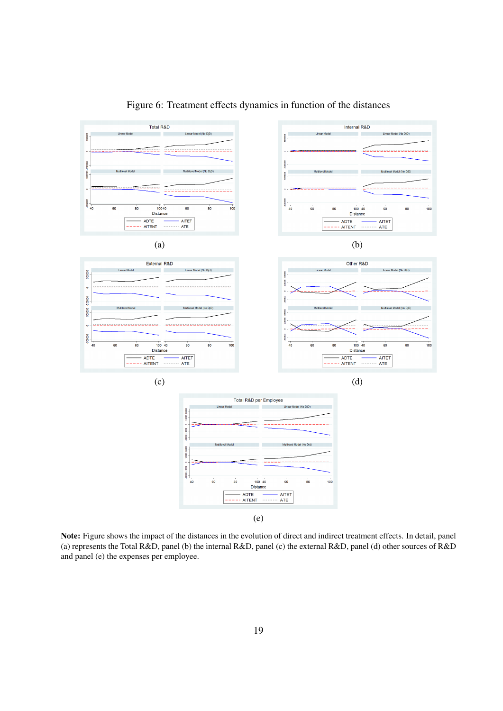

Figure 6: Treatment effects dynamics in function of the distances

Note: Figure shows the impact of the distances in the evolution of direct and indirect treatment effects. In detail, panel (a) represents the Total R&D, panel (b) the internal R&D, panel (c) the external R&D, panel (d) other sources of R&D and panel (e) the expenses per employee.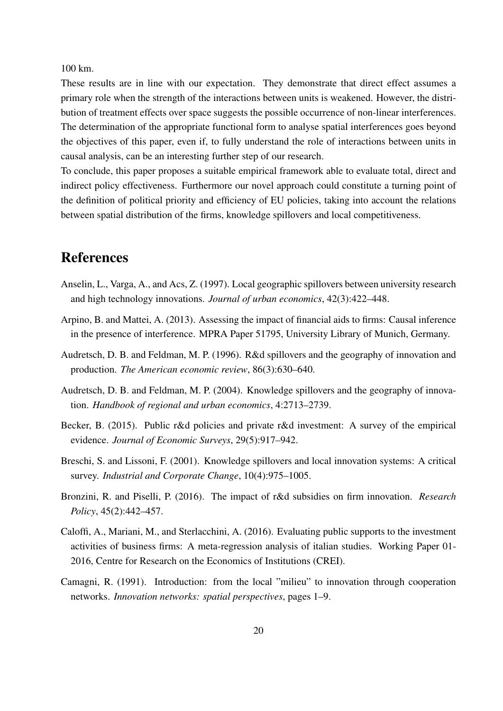100 km.

These results are in line with our expectation. They demonstrate that direct effect assumes a primary role when the strength of the interactions between units is weakened. However, the distribution of treatment effects over space suggests the possible occurrence of non-linear interferences. The determination of the appropriate functional form to analyse spatial interferences goes beyond the objectives of this paper, even if, to fully understand the role of interactions between units in causal analysis, can be an interesting further step of our research.

To conclude, this paper proposes a suitable empirical framework able to evaluate total, direct and indirect policy effectiveness. Furthermore our novel approach could constitute a turning point of the definition of political priority and efficiency of EU policies, taking into account the relations between spatial distribution of the firms, knowledge spillovers and local competitiveness.

# References

- Anselin, L., Varga, A., and Acs, Z. (1997). Local geographic spillovers between university research and high technology innovations. *Journal of urban economics*, 42(3):422–448.
- Arpino, B. and Mattei, A. (2013). Assessing the impact of financial aids to firms: Causal inference in the presence of interference. MPRA Paper 51795, University Library of Munich, Germany.
- Audretsch, D. B. and Feldman, M. P. (1996). R&d spillovers and the geography of innovation and production. *The American economic review*, 86(3):630–640.
- Audretsch, D. B. and Feldman, M. P. (2004). Knowledge spillovers and the geography of innovation. *Handbook of regional and urban economics*, 4:2713–2739.
- Becker, B. (2015). Public r&d policies and private r&d investment: A survey of the empirical evidence. *Journal of Economic Surveys*, 29(5):917–942.
- Breschi, S. and Lissoni, F. (2001). Knowledge spillovers and local innovation systems: A critical survey. *Industrial and Corporate Change*, 10(4):975–1005.
- Bronzini, R. and Piselli, P. (2016). The impact of r&d subsidies on firm innovation. *Research Policy*, 45(2):442–457.
- Caloffi, A., Mariani, M., and Sterlacchini, A. (2016). Evaluating public supports to the investment activities of business firms: A meta-regression analysis of italian studies. Working Paper 01- 2016, Centre for Research on the Economics of Institutions (CREI).
- Camagni, R. (1991). Introduction: from the local "milieu" to innovation through cooperation networks. *Innovation networks: spatial perspectives*, pages 1–9.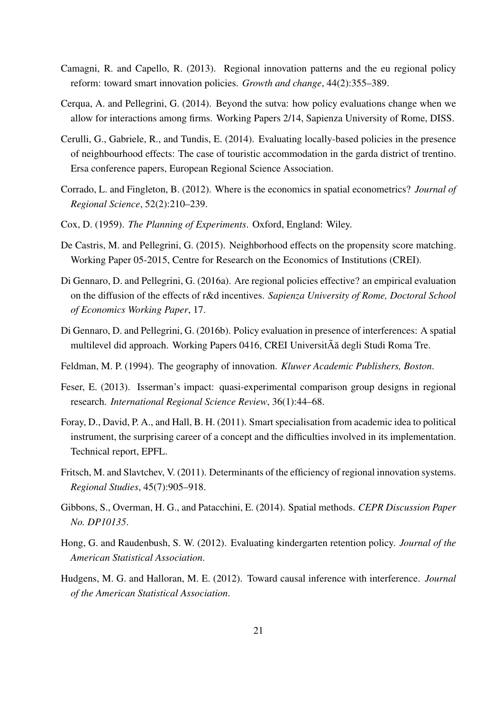- Camagni, R. and Capello, R. (2013). Regional innovation patterns and the eu regional policy reform: toward smart innovation policies. *Growth and change*, 44(2):355–389.
- Cerqua, A. and Pellegrini, G. (2014). Beyond the sutva: how policy evaluations change when we allow for interactions among firms. Working Papers 2/14, Sapienza University of Rome, DISS.
- Cerulli, G., Gabriele, R., and Tundis, E. (2014). Evaluating locally-based policies in the presence of neighbourhood effects: The case of touristic accommodation in the garda district of trentino. Ersa conference papers, European Regional Science Association.
- Corrado, L. and Fingleton, B. (2012). Where is the economics in spatial econometrics? *Journal of Regional Science*, 52(2):210–239.
- Cox, D. (1959). *The Planning of Experiments*. Oxford, England: Wiley.
- De Castris, M. and Pellegrini, G. (2015). Neighborhood effects on the propensity score matching. Working Paper 05-2015, Centre for Research on the Economics of Institutions (CREI).
- Di Gennaro, D. and Pellegrini, G. (2016a). Are regional policies effective? an empirical evaluation on the diffusion of the effects of r&d incentives. *Sapienza University of Rome, Doctoral School of Economics Working Paper*, 17.
- Di Gennaro, D. and Pellegrini, G. (2016b). Policy evaluation in presence of interferences: A spatial multilevel did approach. Working Papers 0416, CREI UniversitÃa degli Studi Roma Tre. ˘
- Feldman, M. P. (1994). The geography of innovation. *Kluwer Academic Publishers, Boston*.
- Feser, E. (2013). Isserman's impact: quasi-experimental comparison group designs in regional research. *International Regional Science Review*, 36(1):44–68.
- Foray, D., David, P. A., and Hall, B. H. (2011). Smart specialisation from academic idea to political instrument, the surprising career of a concept and the difficulties involved in its implementation. Technical report, EPFL.
- Fritsch, M. and Slavtchev, V. (2011). Determinants of the efficiency of regional innovation systems. *Regional Studies*, 45(7):905–918.
- Gibbons, S., Overman, H. G., and Patacchini, E. (2014). Spatial methods. *CEPR Discussion Paper No. DP10135*.
- Hong, G. and Raudenbush, S. W. (2012). Evaluating kindergarten retention policy. *Journal of the American Statistical Association*.
- Hudgens, M. G. and Halloran, M. E. (2012). Toward causal inference with interference. *Journal of the American Statistical Association*.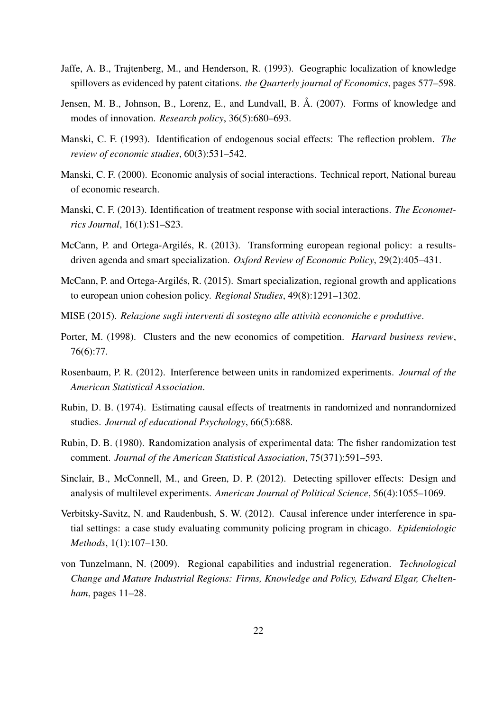- Jaffe, A. B., Trajtenberg, M., and Henderson, R. (1993). Geographic localization of knowledge spillovers as evidenced by patent citations. *the Quarterly journal of Economics*, pages 577–598.
- Jensen, M. B., Johnson, B., Lorenz, E., and Lundvall, B. Å. (2007). Forms of knowledge and modes of innovation. *Research policy*, 36(5):680–693.
- Manski, C. F. (1993). Identification of endogenous social effects: The reflection problem. *The review of economic studies*, 60(3):531–542.
- Manski, C. F. (2000). Economic analysis of social interactions. Technical report, National bureau of economic research.
- Manski, C. F. (2013). Identification of treatment response with social interactions. *The Econometrics Journal*, 16(1):S1–S23.
- McCann, P. and Ortega-Argilés, R. (2013). Transforming european regional policy: a resultsdriven agenda and smart specialization. *Oxford Review of Economic Policy*, 29(2):405–431.
- McCann, P. and Ortega-Argilés, R. (2015). Smart specialization, regional growth and applications to european union cohesion policy. *Regional Studies*, 49(8):1291–1302.
- MISE (2015). *Relazione sugli interventi di sostegno alle attività economiche e produttive*.
- Porter, M. (1998). Clusters and the new economics of competition. *Harvard business review*, 76(6):77.
- Rosenbaum, P. R. (2012). Interference between units in randomized experiments. *Journal of the American Statistical Association*.
- Rubin, D. B. (1974). Estimating causal effects of treatments in randomized and nonrandomized studies. *Journal of educational Psychology*, 66(5):688.
- Rubin, D. B. (1980). Randomization analysis of experimental data: The fisher randomization test comment. *Journal of the American Statistical Association*, 75(371):591–593.
- Sinclair, B., McConnell, M., and Green, D. P. (2012). Detecting spillover effects: Design and analysis of multilevel experiments. *American Journal of Political Science*, 56(4):1055–1069.
- Verbitsky-Savitz, N. and Raudenbush, S. W. (2012). Causal inference under interference in spatial settings: a case study evaluating community policing program in chicago. *Epidemiologic Methods*, 1(1):107–130.
- von Tunzelmann, N. (2009). Regional capabilities and industrial regeneration. *Technological Change and Mature Industrial Regions: Firms, Knowledge and Policy, Edward Elgar, Cheltenham*, pages 11–28.